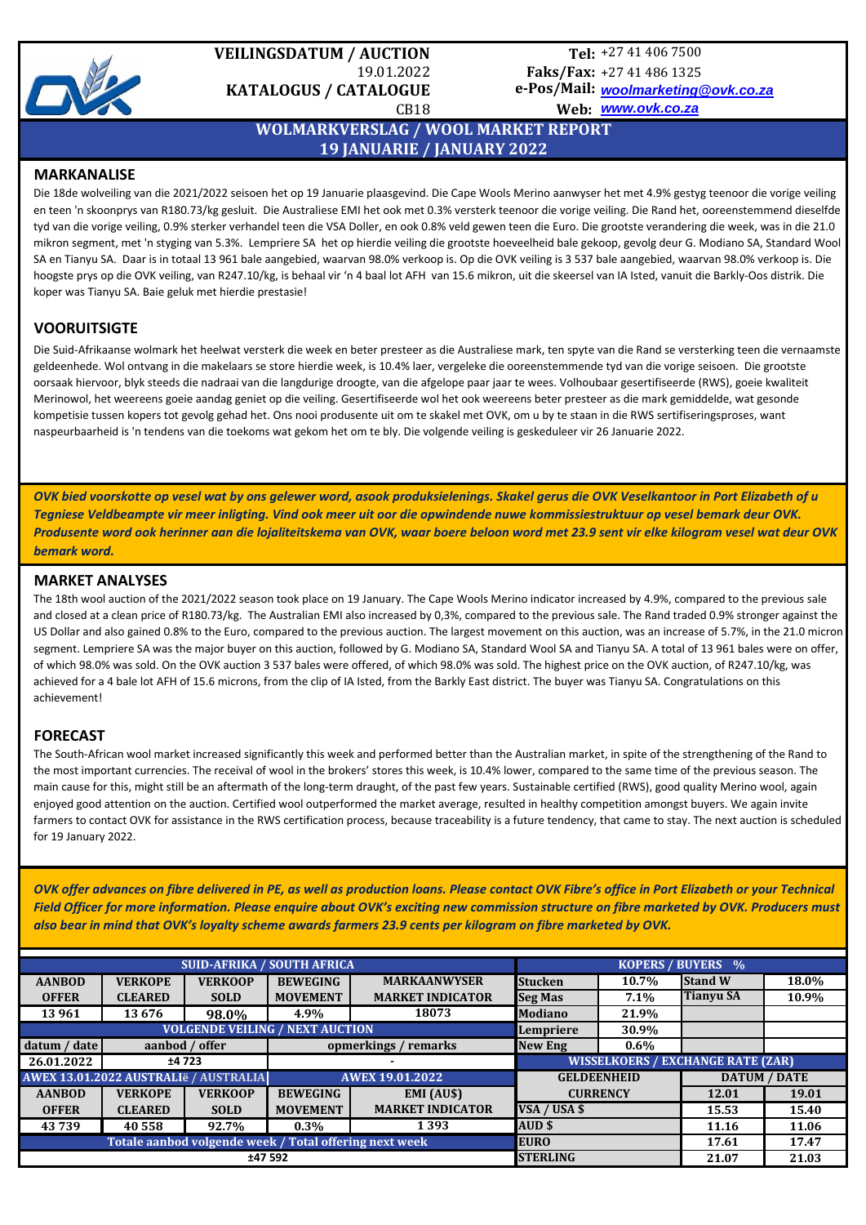

# **VEILINGSDATUM / AUCTION**  19.01.2022 **KATALOGUS / CATALOGUE**

# +27 41 406 7500 **Tel:** +27 41 486 1325 **Faks/Fax:**

*[woolmarketi](mailto:woolmarketing@ovk.co.za)ng@ovk.co.za* **e-Pos/Mail:** *[www.ovk.co.](http://www.ovk.co.za/)za* **Web:** 

CB18

# **WOLMARKVERSLAG / WOOL MARKET REPORT 19 JANUARIE / JANUARY 2022**

#### **MARKANALISE**

Die 18de wolveiling van die 2021/2022 seisoen het op 19 Januarie plaasgevind. Die Cape Wools Merino aanwyser het met 4.9% gestyg teenoor die vorige veiling en teen 'n skoonprys van R180.73/kg gesluit. Die Australiese EMI het ook met 0.3% versterk teenoor die vorige veiling. Die Rand het, ooreenstemmend dieselfde tyd van die vorige veiling, 0.9% sterker verhandel teen die VSA Doller, en ook 0.8% veld gewen teen die Euro. Die grootste verandering die week, was in die 21.0 mikron segment, met 'n styging van 5.3%. Lempriere SA het op hierdie veiling die grootste hoeveelheid bale gekoop, gevolg deur G. Modiano SA, Standard Wool SA en Tianyu SA. Daar is in totaal 13 961 bale aangebied, waarvan 98.0% verkoop is. Op die OVK veiling is 3 537 bale aangebied, waarvan 98.0% verkoop is. Die hoogste prys op die OVK veiling, van R247.10/kg, is behaal vir 'n 4 baal lot AFH van 15.6 mikron, uit die skeersel van IA Isted, vanuit die Barkly-Oos distrik. Die koper was Tianyu SA. Baie geluk met hierdie prestasie!

### **VOORUITSIGTE**

Die Suid-Afrikaanse wolmark het heelwat versterk die week en beter presteer as die Australiese mark, ten spyte van die Rand se versterking teen die vernaamste geldeenhede. Wol ontvang in die makelaars se store hierdie week, is 10.4% laer, vergeleke die ooreenstemmende tyd van die vorige seisoen. Die grootste oorsaak hiervoor, blyk steeds die nadraai van die langdurige droogte, van die afgelope paar jaar te wees. Volhoubaar gesertifiseerde (RWS), goeie kwaliteit Merinowol, het weereens goeie aandag geniet op die veiling. Gesertifiseerde wol het ook weereens beter presteer as die mark gemiddelde, wat gesonde kompetisie tussen kopers tot gevolg gehad het. Ons nooi produsente uit om te skakel met OVK, om u by te staan in die RWS sertifiseringsproses, want naspeurbaarheid is 'n tendens van die toekoms wat gekom het om te bly. Die volgende veiling is geskeduleer vir 26 Januarie 2022.

*OVK bied voorskotte op vesel wat by ons gelewer word, asook produksielenings. Skakel gerus die OVK Veselkantoor in Port Elizabeth of u Tegniese Veldbeampte vir meer inligting. Vind ook meer uit oor die opwindende nuwe kommissiestruktuur op vesel bemark deur OVK. Produsente word ook herinner aan die lojaliteitskema van OVK, waar boere beloon word met 23.9 sent vir elke kilogram vesel wat deur OVK bemark word.*

#### **MARKET ANALYSES**

The 18th wool auction of the 2021/2022 season took place on 19 January. The Cape Wools Merino indicator increased by 4.9%, compared to the previous sale and closed at a clean price of R180.73/kg. The Australian EMI also increased by 0,3%, compared to the previous sale. The Rand traded 0.9% stronger against the US Dollar and also gained 0.8% to the Euro, compared to the previous auction. The largest movement on this auction, was an increase of 5.7%, in the 21.0 micron segment. Lempriere SA was the major buyer on this auction, followed by G. Modiano SA, Standard Wool SA and Tianyu SA. A total of 13 961 bales were on offer, of which 98.0% was sold. On the OVK auction 3 537 bales were offered, of which 98.0% was sold. The highest price on the OVK auction, of R247.10/kg, was achieved for a 4 bale lot AFH of 15.6 microns, from the clip of IA Isted, from the Barkly East district. The buyer was Tianyu SA. Congratulations on this achievement!

### **FORECAST**

The South-African wool market increased significantly this week and performed better than the Australian market, in spite of the strengthening of the Rand to the most important currencies. The receival of wool in the brokers' stores this week, is 10.4% lower, compared to the same time of the previous season. The main cause for this, might still be an aftermath of the long-term draught, of the past few years. Sustainable certified (RWS), good quality Merino wool, again enjoyed good attention on the auction. Certified wool outperformed the market average, resulted in healthy competition amongst buyers. We again invite farmers to contact OVK for assistance in the RWS certification process, because traceability is a future tendency, that came to stay. The next auction is scheduled for 19 January 2022.

*OVK offer advances on fibre delivered in PE, as well as production loans. Please contact OVK Fibre's office in Port Elizabeth or your Technical Field Officer for more information. Please enquire about OVK's exciting new commission structure on fibre marketed by OVK. Producers must also bear in mind that OVK's loyalty scheme awards farmers 23.9 cents per kilogram on fibre marketed by OVK.* 

| <b>SUID-AFRIKA / SOUTH AFRICA</b>                                     |                |                |                        |                                          |                         | <b>KOPERS / BUYERS</b> %          |                  |       |  |  |
|-----------------------------------------------------------------------|----------------|----------------|------------------------|------------------------------------------|-------------------------|-----------------------------------|------------------|-------|--|--|
| <b>AANBOD</b>                                                         | <b>VERKOPE</b> | <b>VERKOOP</b> | <b>BEWEGING</b>        | <b>MARKAANWYSER</b>                      | <b>Stucken</b><br>10.7% |                                   | <b>Stand W</b>   | 18.0% |  |  |
| <b>OFFER</b>                                                          | <b>CLEARED</b> | <b>SOLD</b>    | <b>MOVEMENT</b>        | <b>MARKET INDICATOR</b>                  | <b>Seg Mas</b>          | $7.1\%$                           | <b>Tianyu SA</b> | 10.9% |  |  |
| 13 961                                                                | 13676          | 98.0%          | 4.9%                   | 18073                                    | <b>Modiano</b>          | 21.9%                             |                  |       |  |  |
| <b>VOLGENDE VEILING / NEXT AUCTION</b>                                |                |                |                        |                                          |                         | 30.9%                             |                  |       |  |  |
| datum / date                                                          | aanbod / offer |                |                        | opmerkings / remarks<br><b>New Eng</b>   |                         | $0.6\%$                           |                  |       |  |  |
| 26.01.2022                                                            | ±4723<br>۰     |                |                        | <b>WISSELKOERS / EXCHANGE RATE (ZAR)</b> |                         |                                   |                  |       |  |  |
| AWEX 13.01.2022 AUSTRALIë / AUSTRALIA                                 |                |                | <b>AWEX 19.01.2022</b> |                                          | <b>GELDEENHEID</b>      |                                   | DATUM / DATE     |       |  |  |
| <b>AANBOD</b>                                                         | <b>VERKOPE</b> | <b>VERKOOP</b> | <b>BEWEGING</b>        | EMI (AU\$)                               |                         | <b>CURRENCY</b>                   | 12.01            | 19.01 |  |  |
| <b>OFFER</b>                                                          | <b>CLEARED</b> | <b>SOLD</b>    | <b>MOVEMENT</b>        | <b>MARKET INDICATOR</b>                  | VSA / USA \$            |                                   | 15.53            | 15.40 |  |  |
| 43739                                                                 | 40 558         | 92.7%          | $0.3\%$                | 1 3 9 3                                  | AUD \$                  |                                   | 11.16            | 11.06 |  |  |
| Totale aanbod volgende week / Total offering next week<br><b>EURO</b> |                |                |                        |                                          |                         |                                   | 17.61            | 17.47 |  |  |
| ±47 592                                                               |                |                |                        |                                          |                         | <b>STERLING</b><br>21.07<br>21.03 |                  |       |  |  |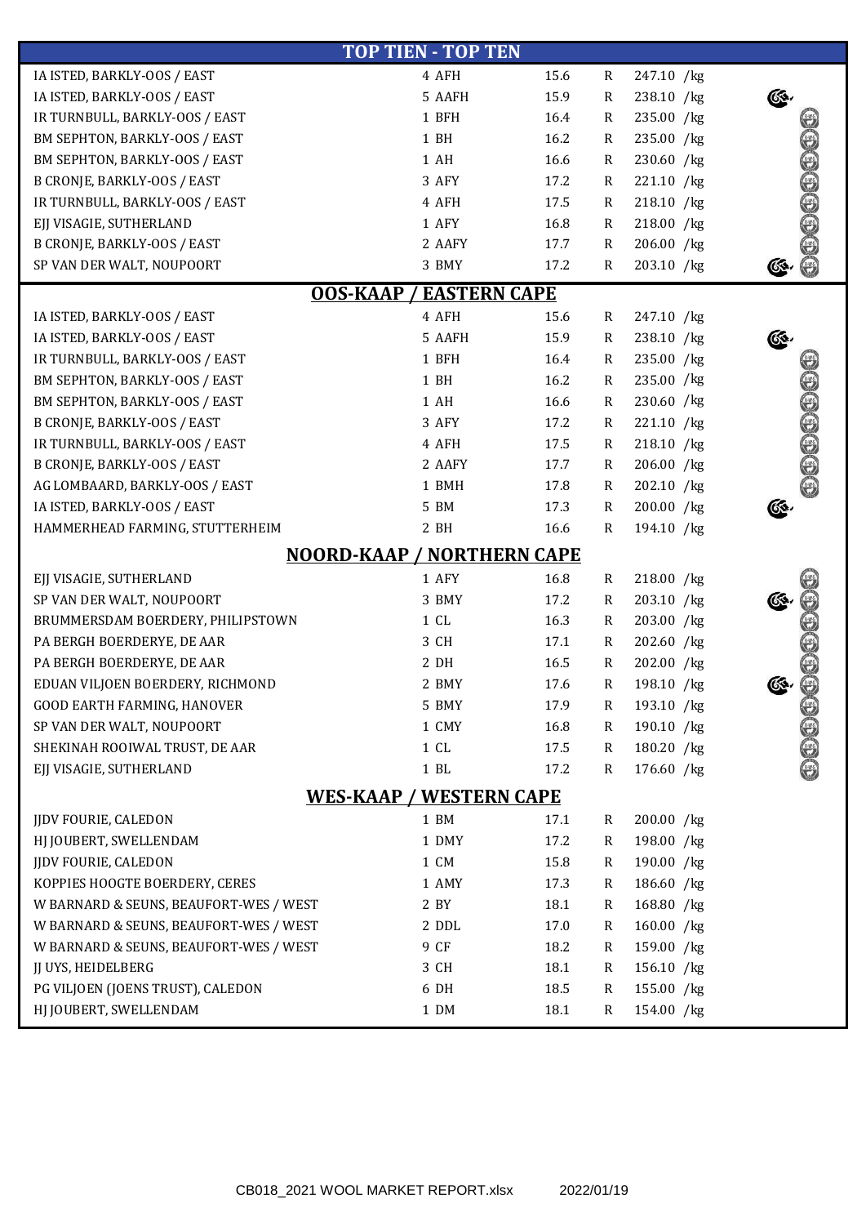| <b>TOP TIEN - TOP TEN</b>                                                 |                                |      |              |            |              |  |  |  |  |  |  |
|---------------------------------------------------------------------------|--------------------------------|------|--------------|------------|--------------|--|--|--|--|--|--|
| IA ISTED, BARKLY-OOS / EAST                                               | 4 AFH                          | 15.6 | R            | 247.10 /kg |              |  |  |  |  |  |  |
| IA ISTED, BARKLY-OOS / EAST                                               | 5 AAFH                         | 15.9 | $\mathsf{R}$ | 238.10 /kg |              |  |  |  |  |  |  |
| IR TURNBULL, BARKLY-OOS / EAST                                            | 1 BFH                          | 16.4 | R            | 235.00 /kg |              |  |  |  |  |  |  |
| BM SEPHTON, BARKLY-OOS / EAST                                             | 1 BH                           | 16.2 | $\mathsf{R}$ | 235.00 /kg |              |  |  |  |  |  |  |
| BM SEPHTON, BARKLY-OOS / EAST                                             | 1 AH                           | 16.6 | $\mathsf{R}$ | 230.60 /kg | 0.000000     |  |  |  |  |  |  |
| <b>B CRONJE, BARKLY-OOS / EAST</b>                                        | 3 AFY                          | 17.2 | $\mathsf{R}$ | 221.10 /kg |              |  |  |  |  |  |  |
| IR TURNBULL, BARKLY-OOS / EAST                                            | 4 AFH                          | 17.5 | $\mathsf{R}$ | 218.10 /kg |              |  |  |  |  |  |  |
| EJJ VISAGIE, SUTHERLAND                                                   | 1 AFY                          | 16.8 | $\mathsf{R}$ | 218.00 /kg |              |  |  |  |  |  |  |
| B CRONJE, BARKLY-OOS / EAST                                               | 2 AAFY                         | 17.7 | $\mathsf{R}$ | 206.00 /kg |              |  |  |  |  |  |  |
| SP VAN DER WALT, NOUPOORT                                                 | 3 BMY                          | 17.2 | R            | 203.10 /kg |              |  |  |  |  |  |  |
| <b>EASTERN CAPE</b><br><b>OOS-KAAP</b>                                    |                                |      |              |            |              |  |  |  |  |  |  |
| 4 AFH<br>15.6<br>IA ISTED, BARKLY-OOS / EAST<br>$\mathbf R$<br>247.10 /kg |                                |      |              |            |              |  |  |  |  |  |  |
| IA ISTED, BARKLY-OOS / EAST                                               | 5 AAFH                         | 15.9 | $\mathsf{R}$ | 238.10 /kg |              |  |  |  |  |  |  |
| IR TURNBULL, BARKLY-OOS / EAST                                            | 1 BFH                          | 16.4 | $\mathsf{R}$ | 235.00 /kg |              |  |  |  |  |  |  |
| BM SEPHTON, BARKLY-OOS / EAST                                             | 1 BH                           | 16.2 | $\mathsf{R}$ | 235.00 /kg |              |  |  |  |  |  |  |
| BM SEPHTON, BARKLY-OOS / EAST                                             | 1 AH                           | 16.6 | $\mathsf{R}$ | 230.60 /kg |              |  |  |  |  |  |  |
| <b>B CRONJE, BARKLY-OOS / EAST</b>                                        | 3 AFY                          | 17.2 | $\mathsf{R}$ | 221.10 /kg |              |  |  |  |  |  |  |
| IR TURNBULL, BARKLY-OOS / EAST                                            | 4 AFH                          | 17.5 | $\mathsf{R}$ | 218.10 /kg |              |  |  |  |  |  |  |
| <b>B CRONJE, BARKLY-OOS / EAST</b>                                        | 2 AAFY                         | 17.7 | $\mathsf{R}$ | 206.00 /kg |              |  |  |  |  |  |  |
| AG LOMBAARD, BARKLY-OOS / EAST                                            | 1 BMH                          | 17.8 | $\mathsf{R}$ | 202.10 /kg | 000000       |  |  |  |  |  |  |
| IA ISTED, BARKLY-OOS / EAST                                               | 5 BM                           | 17.3 | $\mathsf{R}$ | 200.00 /kg |              |  |  |  |  |  |  |
| HAMMERHEAD FARMING, STUTTERHEIM                                           | 2 BH                           | 16.6 | R            | 194.10 /kg |              |  |  |  |  |  |  |
| <b>NOORD-KAAP / NORTHERN CAPE</b>                                         |                                |      |              |            |              |  |  |  |  |  |  |
| EJJ VISAGIE, SUTHERLAND                                                   | 1 AFY                          | 16.8 | $\mathbf R$  | 218.00 /kg |              |  |  |  |  |  |  |
| SP VAN DER WALT, NOUPOORT                                                 | 3 BMY                          | 17.2 | $\mathsf{R}$ | 203.10 /kg |              |  |  |  |  |  |  |
| BRUMMERSDAM BOERDERY, PHILIPSTOWN                                         | 1CL                            | 16.3 | $\mathsf R$  | 203.00 /kg |              |  |  |  |  |  |  |
| PA BERGH BOERDERYE, DE AAR                                                | 3 CH                           | 17.1 | R            | 202.60 /kg |              |  |  |  |  |  |  |
| PA BERGH BOERDERYE, DE AAR                                                | 2 DH                           | 16.5 | $\mathsf{R}$ | 202.00 /kg |              |  |  |  |  |  |  |
| EDUAN VILJOEN BOERDERY, RICHMOND                                          | 2 BMY                          | 17.6 | R            | 198.10 /kg | G\$,         |  |  |  |  |  |  |
| GOOD EARTH FARMING, HANOVER                                               | 5 BMY                          | 17.9 | R            | 193.10 /kg |              |  |  |  |  |  |  |
| SP VAN DER WALT, NOUPOORT                                                 | 1 CMY                          | 16.8 | R            | 190.10 /kg |              |  |  |  |  |  |  |
| SHEKINAH ROOIWAL TRUST, DE AAR                                            | 1CL                            | 17.5 | R            | 180.20 /kg |              |  |  |  |  |  |  |
| EJJ VISAGIE, SUTHERLAND                                                   | $1$ $\rm BL$                   | 17.2 | $\mathsf{R}$ | 176.60 /kg | <b>00000</b> |  |  |  |  |  |  |
|                                                                           | <b>WES-KAAP / WESTERN CAPE</b> |      |              |            |              |  |  |  |  |  |  |
|                                                                           |                                |      |              |            |              |  |  |  |  |  |  |
| JJDV FOURIE, CALEDON                                                      | 1 BM                           | 17.1 | R            | 200.00 /kg |              |  |  |  |  |  |  |
| HJ JOUBERT, SWELLENDAM                                                    | 1 DMY                          | 17.2 | R            | 198.00 /kg |              |  |  |  |  |  |  |
| <b>JIDV FOURIE, CALEDON</b>                                               | 1 CM                           | 15.8 | R            | 190.00 /kg |              |  |  |  |  |  |  |
| KOPPIES HOOGTE BOERDERY, CERES                                            | 1 AMY                          | 17.3 | $\mathsf{R}$ | 186.60 /kg |              |  |  |  |  |  |  |
| W BARNARD & SEUNS, BEAUFORT-WES / WEST                                    | 2 BY                           | 18.1 | R            | 168.80 /kg |              |  |  |  |  |  |  |
| W BARNARD & SEUNS, BEAUFORT-WES / WEST                                    | 2 DDL                          | 17.0 | R            | 160.00 /kg |              |  |  |  |  |  |  |
| W BARNARD & SEUNS, BEAUFORT-WES / WEST                                    | 9 CF                           | 18.2 | R            | 159.00 /kg |              |  |  |  |  |  |  |
| JJ UYS, HEIDELBERG                                                        | 3 CH                           | 18.1 | R            | 156.10 /kg |              |  |  |  |  |  |  |
| PG VILJOEN (JOENS TRUST), CALEDON                                         | 6 DH                           | 18.5 | R            | 155.00 /kg |              |  |  |  |  |  |  |
| HJ JOUBERT, SWELLENDAM                                                    | 1 DM                           | 18.1 | R            | 154.00 /kg |              |  |  |  |  |  |  |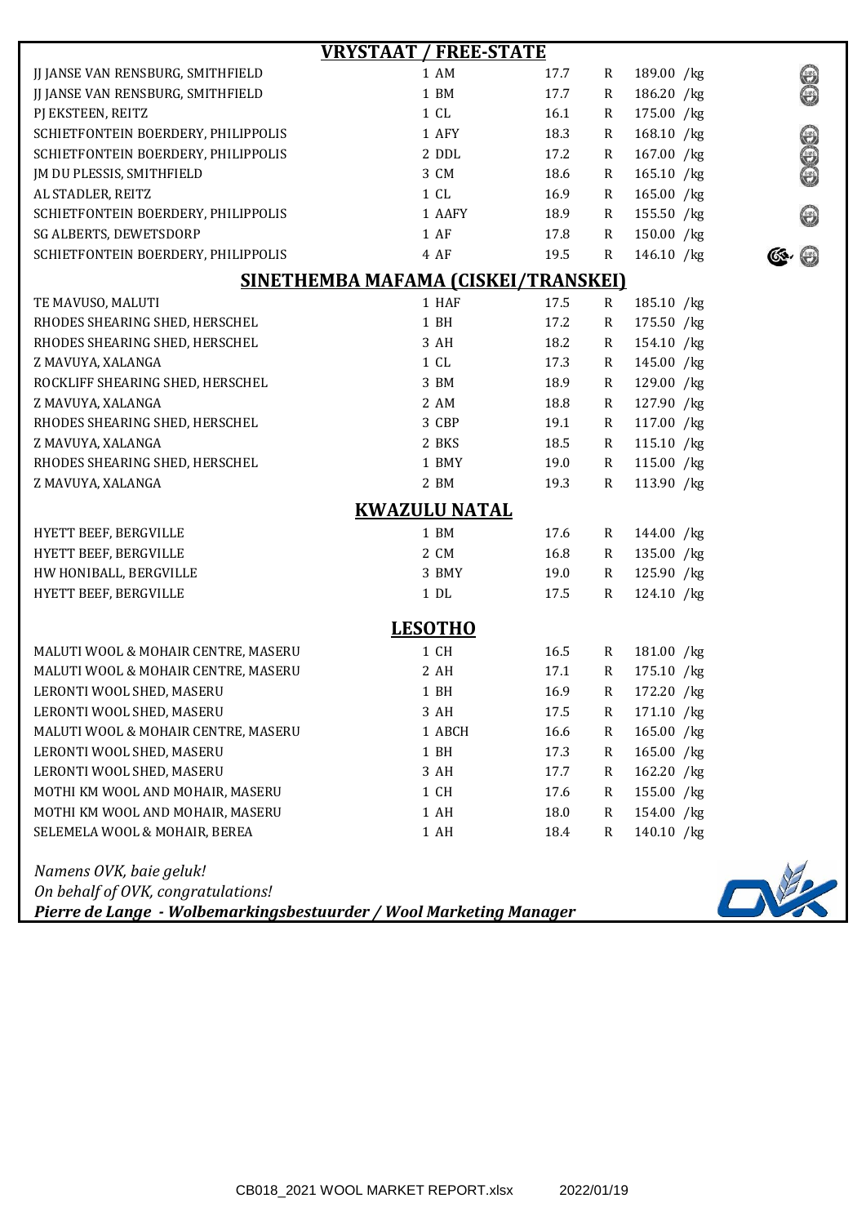| <b>VRYSTAAT / FREE-STATE</b>        |                      |      |              |            |                |  |  |  |  |  |
|-------------------------------------|----------------------|------|--------------|------------|----------------|--|--|--|--|--|
| JJ JANSE VAN RENSBURG, SMITHFIELD   | 1 AM                 | 17.7 | R            | 189.00 /kg |                |  |  |  |  |  |
| JJ JANSE VAN RENSBURG, SMITHFIELD   | 1 BM                 | 17.7 | R            | 186.20 /kg | Separation of  |  |  |  |  |  |
| PJ EKSTEEN, REITZ                   | 1CL                  | 16.1 | R            | 175.00 /kg |                |  |  |  |  |  |
| SCHIETFONTEIN BOERDERY, PHILIPPOLIS | 1 AFY                | 18.3 | R            | 168.10 /kg | <b>9990</b>    |  |  |  |  |  |
| SCHIETFONTEIN BOERDERY, PHILIPPOLIS | 2 DDL                | 17.2 | R            | 167.00 /kg |                |  |  |  |  |  |
| JM DU PLESSIS, SMITHFIELD           | 3 CM                 | 18.6 | R            | 165.10 /kg |                |  |  |  |  |  |
| AL STADLER, REITZ                   | 1CL                  | 16.9 | R            | 165.00 /kg |                |  |  |  |  |  |
| SCHIETFONTEIN BOERDERY, PHILIPPOLIS | 1 AAFY               | 18.9 | R            | 155.50 /kg | (evs)          |  |  |  |  |  |
| SG ALBERTS, DEWETSDORP              | 1 AF                 | 17.8 | $\mathbf R$  | 150.00 /kg |                |  |  |  |  |  |
| SCHIETFONTEIN BOERDERY, PHILIPPOLIS | 4 AF                 | 19.5 | R            | 146.10 /kg |                |  |  |  |  |  |
| SINETHEMBA MAFAMA (CISKEI/TRANSKEI) |                      |      |              |            |                |  |  |  |  |  |
| TE MAVUSO, MALUTI                   | 1 HAF                | 17.5 | $\mathbf R$  | 185.10 /kg |                |  |  |  |  |  |
| RHODES SHEARING SHED, HERSCHEL      | 1 BH                 | 17.2 | $\mathbb{R}$ | 175.50 /kg |                |  |  |  |  |  |
| RHODES SHEARING SHED, HERSCHEL      | 3 AH                 | 18.2 | R            | 154.10 /kg |                |  |  |  |  |  |
| Z MAVUYA, XALANGA                   | 1CL                  | 17.3 | R            | 145.00 /kg |                |  |  |  |  |  |
| ROCKLIFF SHEARING SHED, HERSCHEL    | 3 BM                 | 18.9 | R            | 129.00 /kg |                |  |  |  |  |  |
| Z MAVUYA, XALANGA                   | 2 AM                 | 18.8 | R            | 127.90 /kg |                |  |  |  |  |  |
| RHODES SHEARING SHED, HERSCHEL      | 3 CBP                | 19.1 | $\mathbb{R}$ | 117.00 /kg |                |  |  |  |  |  |
| Z MAVUYA, XALANGA                   | 2 BKS                | 18.5 | $\mathbf R$  | 115.10 /kg |                |  |  |  |  |  |
| RHODES SHEARING SHED, HERSCHEL      | 1 BMY                | 19.0 | $\mathbf R$  | 115.00 /kg |                |  |  |  |  |  |
| Z MAVUYA, XALANGA                   | 2 BM                 | 19.3 | R            | 113.90 /kg |                |  |  |  |  |  |
|                                     | <b>KWAZULU NATAL</b> |      |              |            |                |  |  |  |  |  |
| HYETT BEEF, BERGVILLE               | 1 BM                 | 17.6 | R            | 144.00 /kg |                |  |  |  |  |  |
| HYETT BEEF, BERGVILLE               | 2 CM                 | 16.8 | R            | 135.00 /kg |                |  |  |  |  |  |
| HW HONIBALL, BERGVILLE              | 3 BMY                | 19.0 | R            | 125.90 /kg |                |  |  |  |  |  |
| HYETT BEEF, BERGVILLE               | $1\,$ DL             | 17.5 | R            | 124.10 /kg |                |  |  |  |  |  |
|                                     |                      |      |              |            |                |  |  |  |  |  |
|                                     | <b>LESOTHO</b>       |      |              |            |                |  |  |  |  |  |
| MALUTI WOOL & MOHAIR CENTRE, MASERU | 1 CH                 | 16.5 | R            | 181.00 /kg |                |  |  |  |  |  |
| MALUTI WOOL & MOHAIR CENTRE, MASERU | 2 AH                 | 17.1 | $\mathbf R$  | 175.10 /kg |                |  |  |  |  |  |
| LERONTI WOOL SHED, MASERU           | 1 BH                 | 16.9 | ${\bf R}$    | 172.20 /kg |                |  |  |  |  |  |
| LERONTI WOOL SHED, MASERU           | 3 AH                 | 17.5 | R            | 171.10 /kg |                |  |  |  |  |  |
| MALUTI WOOL & MOHAIR CENTRE, MASERU | 1 ABCH               | 16.6 | $\mathbf R$  | 165.00 /kg |                |  |  |  |  |  |
| LERONTI WOOL SHED, MASERU           | 1 BH                 | 17.3 | R            | 165.00 /kg |                |  |  |  |  |  |
| LERONTI WOOL SHED, MASERU           | 3 AH                 | 17.7 | R            | 162.20 /kg |                |  |  |  |  |  |
| MOTHI KM WOOL AND MOHAIR, MASERU    | 1 CH                 | 17.6 | R            | 155.00 /kg |                |  |  |  |  |  |
| MOTHI KM WOOL AND MOHAIR, MASERU    | 1 AH                 | 18.0 | R            | 154.00 /kg |                |  |  |  |  |  |
| SELEMELA WOOL & MOHAIR, BEREA       | 1 AH                 | 18.4 | $\mathbb{R}$ | 140.10 /kg |                |  |  |  |  |  |
| Namens OVK, baie geluk!             |                      |      |              |            |                |  |  |  |  |  |
| On behalf of OVK, congratulations!  |                      |      |              |            | $\blacksquare$ |  |  |  |  |  |

*Pierre de Lange - Wolbemarkingsbestuurder / Wool Marketing Manager*